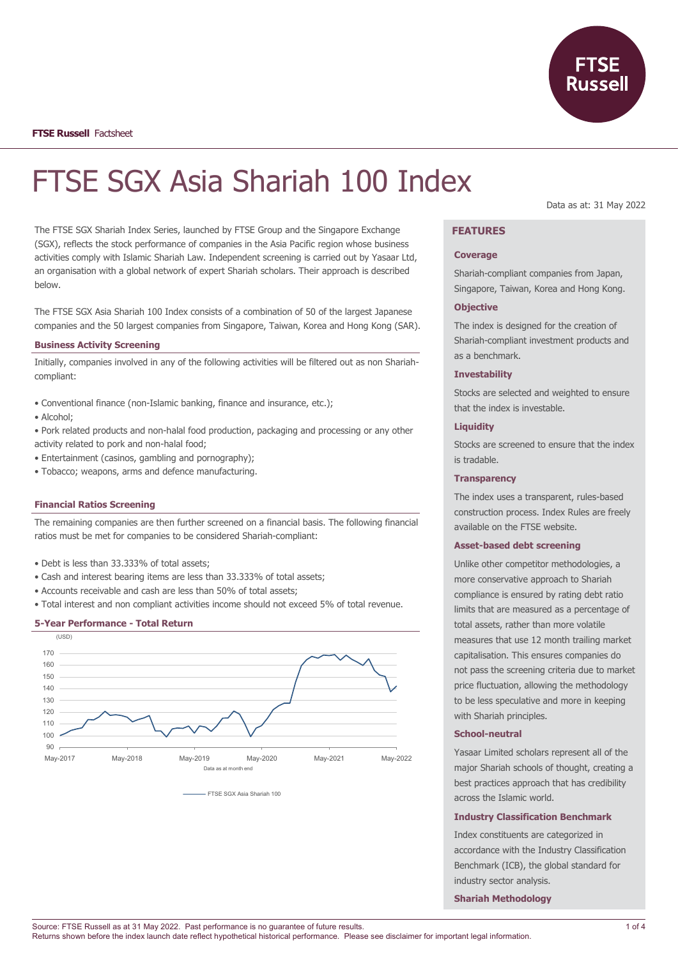

**FTSE Russell** Factsheet

# FTSE SGX Asia Shariah 100 Index

The FTSE SGX Shariah Index Series, launched by FTSE Group and the Singapore Exchange (SGX), reflects the stock performance of companies in the Asia Pacific region whose business activities comply with Islamic Shariah Law. Independent screening is carried out by Yasaar Ltd, an organisation with a global network of expert Shariah scholars. Their approach is described below.

The FTSE SGX Asia Shariah 100 Index consists of a combination of 50 of the largest Japanese companies and the 50 largest companies from Singapore, Taiwan, Korea and Hong Kong (SAR).

## **Business Activity Screening**

Initially, companies involved in any of the following activities will be filtered out as non Shariahcompliant:

- Conventional finance (non-Islamic banking, finance and insurance, etc.);
- Alcohol;
- Pork related products and non-halal food production, packaging and processing or any other activity related to pork and non-halal food;
- Entertainment (casinos, gambling and pornography);
- Tobacco; weapons, arms and defence manufacturing.

#### **Financial Ratios Screening**

The remaining companies are then further screened on a financial basis. The following financial ratios must be met for companies to be considered Shariah-compliant:

- Debt is less than 33.333% of total assets;
- Cash and interest bearing items are less than 33.333% of total assets;
- Accounts receivable and cash are less than 50% of total assets;
- Total interest and non compliant activities income should not exceed 5% of total revenue.

#### **5-Year Performance - Total Return**



FTSE SGX Asia Shariah 100

Data as at: 31 May 2022

# **FEATURES**

#### **Coverage**

Shariah-compliant companies from Japan, Singapore, Taiwan, Korea and Hong Kong.

#### **Objective**

The index is designed for the creation of Shariah-compliant investment products and as a benchmark.

## **Investability**

Stocks are selected and weighted to ensure that the index is investable.

#### **Liquidity**

Stocks are screened to ensure that the index is tradable.

## **Transparency**

The index uses a transparent, rules-based construction process. Index Rules are freely available on the FTSE website.

#### **Asset-based debt screening**

Unlike other competitor methodologies, a more conservative approach to Shariah compliance is ensured by rating debt ratio limits that are measured as a percentage of total assets, rather than more volatile measures that use 12 month trailing market capitalisation. This ensures companies do not pass the screening criteria due to market price fluctuation, allowing the methodology to be less speculative and more in keeping with Shariah principles.

#### **School-neutral**

Yasaar Limited scholars represent all of the major Shariah schools of thought, creating a best practices approach that has credibility across the Islamic world.

#### **Industry Classification Benchmark**

Index constituents are categorized in accordance with the Industry Classification Benchmark (ICB), the global standard for industry sector analysis.

**Shariah Methodology**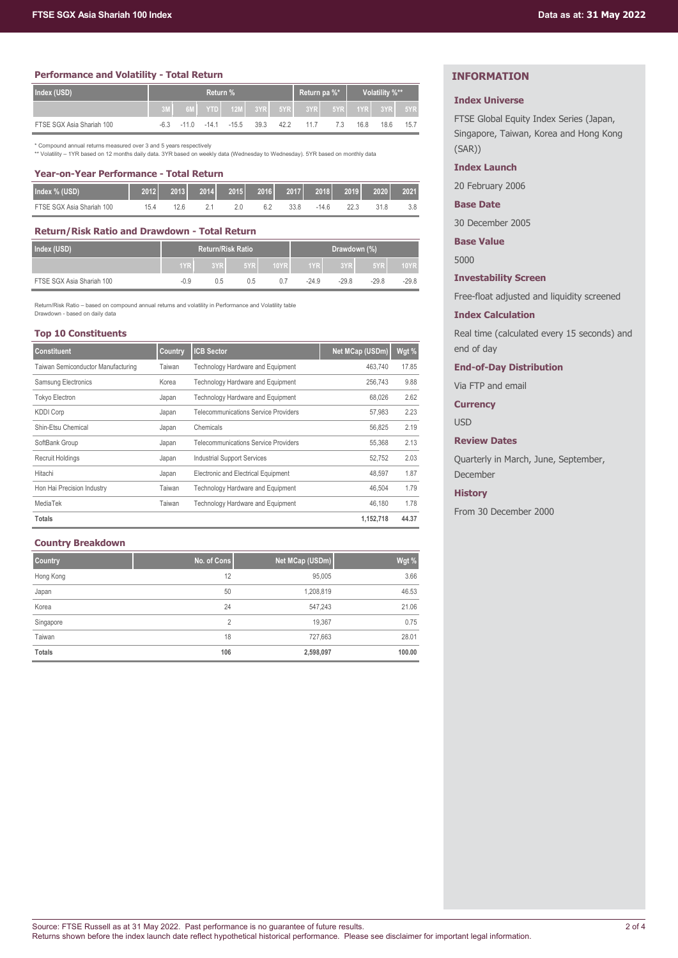# **Performance and Volatility - Total Return**

| Index (USD)               | Return % |  |                    |         |      |      | Return pa %*                                     |    | Volatility %** |      |      |
|---------------------------|----------|--|--------------------|---------|------|------|--------------------------------------------------|----|----------------|------|------|
|                           |          |  |                    |         |      |      | 6ML YTDL 12ML 3YRL 5YRL 3YRL 5YRL 1YRL 3YRL 5YRL |    |                |      |      |
| FTSE SGX Asia Shariah 100 |          |  | $-6.3 -11.0 -14.1$ | $-15.5$ | 39.3 | 42.2 | 117                                              | 73 | 16.8           | 18.6 | 15.7 |

\* Compound annual returns measured over 3 and 5 years respectively

\*\* Volatility – 1YR based on 12 months daily data. 3YR based on weekly data (Wednesday to Wednesday). 5YR based on monthly data

| Year-on-Year Performance - Total Return |      |      |  |               |      |      |                         |      |      |      |
|-----------------------------------------|------|------|--|---------------|------|------|-------------------------|------|------|------|
| Index % (USD)                           | 2012 | 2013 |  | $2014$ $2015$ | 2016 |      | <b>2017 2018 2019</b> ا |      | 2020 | 2021 |
| FTSE SGX Asia Shariah 100               | 15 4 | 126  |  | 2 Q           | 62   | 33.8 | -14.6                   | 22.3 | 31 R |      |

## **Return/Risk Ratio and Drawdown - Total Return**

| Index (USD)               | <b>Return/Risk Ratio</b> |     |     |      | Drawdown (%) |         |         |             |
|---------------------------|--------------------------|-----|-----|------|--------------|---------|---------|-------------|
|                           | 1YR                      | 3YR | 5YR | 10YR | MYR N        | 3YR     | 5YR     | <b>10YR</b> |
| FTSE SGX Asia Shariah 100 | $-0.9$                   | 0.5 | 0.5 | 07   | $-24.9$      | $-29.8$ | $-29.8$ | $-29.8$     |

Return/Risk Ratio – based on compound annual returns and volatility in Performance and Volatility table Drawdown - based on daily data

#### **Top 10 Constituents**

| <b>Constituent</b>                 | Country | <b>ICB Sector</b>                           | Net MCap (USDm) | Wgt % |
|------------------------------------|---------|---------------------------------------------|-----------------|-------|
| Taiwan Semiconductor Manufacturing | Taiwan  | <b>Technology Hardware and Equipment</b>    | 463.740         | 17.85 |
| Samsung Electronics                | Korea   | Technology Hardware and Equipment           | 256.743         | 9.88  |
| <b>Tokyo Electron</b>              | Japan   | Technology Hardware and Equipment           | 68,026          | 2.62  |
| <b>KDDI Corp</b>                   | Japan   | <b>Telecommunications Service Providers</b> | 57,983          | 2.23  |
| Shin-Etsu Chemical                 | Japan   | Chemicals                                   | 56.825          | 2.19  |
| SoftBank Group                     | Japan   | <b>Telecommunications Service Providers</b> | 55,368          | 2.13  |
| Recruit Holdings                   | Japan   | <b>Industrial Support Services</b>          | 52,752          | 2.03  |
| Hitachi                            | Japan   | Electronic and Electrical Equipment         | 48.597          | 1.87  |
| Hon Hai Precision Industry         | Taiwan  | Technology Hardware and Equipment           | 46.504          | 1.79  |
| MediaTek                           | Taiwan  | Technology Hardware and Equipment           | 46.180          | 1.78  |
| <b>Totals</b>                      |         |                                             | 1,152,718       | 44.37 |

## **Country Breakdown**

| <b>Country</b> | No. of Cons    | Net MCap (USDm) | Wgt %  |
|----------------|----------------|-----------------|--------|
| Hong Kong      | 12             | 95,005          | 3.66   |
| Japan          | 50             | 1,208,819       | 46.53  |
| Korea          | 24             | 547,243         | 21.06  |
| Singapore      | $\overline{2}$ | 19,367          | 0.75   |
| Taiwan         | 18             | 727,663         | 28.01  |
| <b>Totals</b>  | 106            | 2,598,097       | 100.00 |

# **INFORMATION**

## **Index Universe**

FTSE Global Equity Index Series (Japan, Singapore, Taiwan, Korea and Hong Kong (SAR))

# **Index Launch**

20 February 2006

**Base Date**

30 December 2005

**Base Value**

5000

## **Investability Screen**

Free-float adjusted and liquidity screened

## **Index Calculation**

Real time (calculated every 15 seconds) and end of day

**End-of-Day Distribution**

Via FTP and email

**Currency**

USD

## **Review Dates**

Quarterly in March, June, September, December

## **History**

From 30 December 2000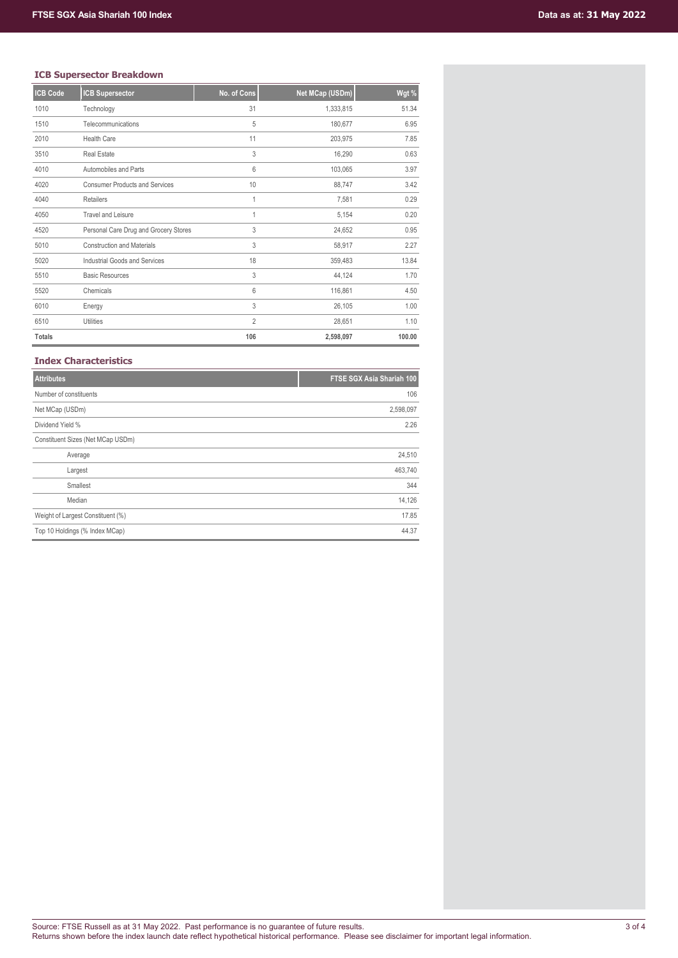# **ICB Supersector Breakdown**

| <b>ICB Code</b> | <b>ICB Supersector</b>                | No. of Cons    | Net MCap (USDm) | Wgt %  |
|-----------------|---------------------------------------|----------------|-----------------|--------|
| 1010            | Technology                            | 31             | 1,333,815       | 51.34  |
| 1510            | Telecommunications                    | 5              | 180,677         | 6.95   |
| 2010            | <b>Health Care</b>                    | 11             | 203,975         | 7.85   |
| 3510            | <b>Real Estate</b>                    | 3              | 16,290          | 0.63   |
| 4010            | Automobiles and Parts                 | 6              | 103,065         | 3.97   |
| 4020            | <b>Consumer Products and Services</b> | 10             | 88,747          | 3.42   |
| 4040            | <b>Retailers</b>                      | 1              | 7,581           | 0.29   |
| 4050            | <b>Travel and Leisure</b>             | $\mathbf{1}$   | 5,154           | 0.20   |
| 4520            | Personal Care Drug and Grocery Stores | 3              | 24,652          | 0.95   |
| 5010            | <b>Construction and Materials</b>     | 3              | 58,917          | 2.27   |
| 5020            | Industrial Goods and Services         | 18             | 359,483         | 13.84  |
| 5510            | <b>Basic Resources</b>                | 3              | 44,124          | 1.70   |
| 5520            | Chemicals                             | 6              | 116,861         | 4.50   |
| 6010            | Energy                                | 3              | 26,105          | 1.00   |
| 6510            | <b>Utilities</b>                      | $\overline{2}$ | 28,651          | 1.10   |
| <b>Totals</b>   |                                       | 106            | 2,598,097       | 100.00 |

## **Index Characteristics**

| <b>Attributes</b>                 | FTSE SGX Asia Shariah 100 |
|-----------------------------------|---------------------------|
| Number of constituents            | 106                       |
| Net MCap (USDm)                   | 2,598,097                 |
| Dividend Yield %                  | 2.26                      |
| Constituent Sizes (Net MCap USDm) |                           |
| Average                           | 24,510                    |
| Largest                           | 463,740                   |
| Smallest                          | 344                       |
| Median                            | 14,126                    |
| Weight of Largest Constituent (%) | 17.85                     |
| Top 10 Holdings (% Index MCap)    | 44.37                     |